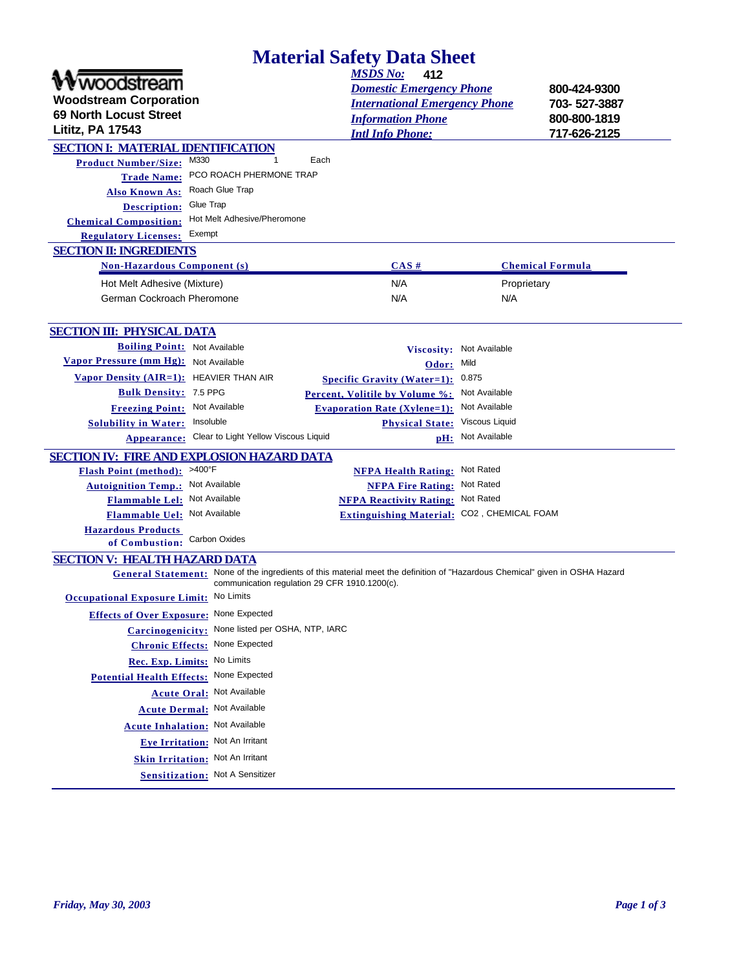| <b>Material Safety Data Sheet</b>                                                                                                                                             |                                      |                         |              |  |  |
|-------------------------------------------------------------------------------------------------------------------------------------------------------------------------------|--------------------------------------|-------------------------|--------------|--|--|
|                                                                                                                                                                               | <b>MSDS No:</b><br>412               |                         |              |  |  |
| woodstream                                                                                                                                                                    | <b>Domestic Emergency Phone</b>      |                         | 800-424-9300 |  |  |
| <b>Woodstream Corporation</b>                                                                                                                                                 | <b>International Emergency Phone</b> |                         | 703-527-3887 |  |  |
| <b>69 North Locust Street</b><br><b>Lititz, PA 17543</b>                                                                                                                      | <b>Information Phone</b>             |                         | 800-800-1819 |  |  |
|                                                                                                                                                                               | <b>Intl Info Phone:</b>              |                         | 717-626-2125 |  |  |
| <b>SECTION I: MATERIAL IDENTIFICATION</b><br>M330<br><b>Product Number/Size:</b>                                                                                              | Each                                 |                         |              |  |  |
| PCO ROACH PHERMONE TRAP<br><b>Trade Name:</b>                                                                                                                                 |                                      |                         |              |  |  |
| Roach Glue Trap<br><b>Also Known As:</b>                                                                                                                                      |                                      |                         |              |  |  |
| Glue Trap<br><b>Description:</b>                                                                                                                                              |                                      |                         |              |  |  |
| Hot Melt Adhesive/Pheromone<br><b>Chemical Composition:</b>                                                                                                                   |                                      |                         |              |  |  |
| Exempt<br><b>Regulatory Licenses:</b>                                                                                                                                         |                                      |                         |              |  |  |
| <b>SECTION II: INGREDIENTS</b>                                                                                                                                                |                                      |                         |              |  |  |
| <b>Non-Hazardous Component (s)</b>                                                                                                                                            | CAS#                                 | <b>Chemical Formula</b> |              |  |  |
| Hot Melt Adhesive (Mixture)                                                                                                                                                   | N/A                                  | Proprietary             |              |  |  |
| German Cockroach Pheromone                                                                                                                                                    | N/A                                  | N/A                     |              |  |  |
|                                                                                                                                                                               |                                      |                         |              |  |  |
| <b>SECTION III: PHYSICAL DATA</b>                                                                                                                                             |                                      |                         |              |  |  |
| <b>Boiling Point: Not Available</b>                                                                                                                                           | Viscosity:                           | Not Available           |              |  |  |
| Vapor Pressure (mm Hg): Not Available                                                                                                                                         | Odor:                                | Mild                    |              |  |  |
| Vapor Density (AIR=1): HEAVIER THAN AIR                                                                                                                                       | <b>Specific Gravity (Water=1):</b>   | 0.875                   |              |  |  |
| <b>Bulk Density: 7.5 PPG</b>                                                                                                                                                  | Percent, Volitile by Volume %:       | Not Available           |              |  |  |
| Not Available<br><b>Freezing Point:</b>                                                                                                                                       | <b>Evaporation Rate (Xylene=1):</b>  | Not Available           |              |  |  |
| Insoluble<br><b>Solubility in Water:</b>                                                                                                                                      | <b>Physical State:</b>               | Viscous Liquid          |              |  |  |
| Clear to Light Yellow Viscous Liquid<br>Appearance:                                                                                                                           | pH:                                  | Not Available           |              |  |  |
| <b>SECTION IV: FIRE AND EXPLOSION HAZARD DATA</b>                                                                                                                             |                                      |                         |              |  |  |
| $>400^{\circ}$ F<br><b>Flash Point (method):</b>                                                                                                                              | <b>NFPA Health Rating:</b>           | Not Rated               |              |  |  |
| Not Available<br><b>Autoignition Temp.:</b>                                                                                                                                   | <b>NFPA Fire Rating:</b>             | Not Rated               |              |  |  |
| Not Available<br><b>Flammable Lel:</b>                                                                                                                                        | <b>NFPA Reactivity Rating:</b>       | Not Rated               |              |  |  |
| Flammable Uel: Not Available                                                                                                                                                  | <b>Extinguishing Material:</b>       | CO2, CHEMICAL FOAM      |              |  |  |
| <b>Hazardous Products</b><br>Carbon Oxides                                                                                                                                    |                                      |                         |              |  |  |
| of Combustion:                                                                                                                                                                |                                      |                         |              |  |  |
| <b>SECTION V: HEALTH HAZARD DATA</b>                                                                                                                                          |                                      |                         |              |  |  |
| General Statement: None of the ingredients of this material meet the definition of "Hazardous Chemical" given in OSHA Hazard<br>communication regulation 29 CFR 1910.1200(c). |                                      |                         |              |  |  |
| Occupational Exposure Limit: No Limits                                                                                                                                        |                                      |                         |              |  |  |
| <b>Effects of Over Exposure: None Expected</b>                                                                                                                                |                                      |                         |              |  |  |
| Carcinogenicity: None listed per OSHA, NTP, IARC                                                                                                                              |                                      |                         |              |  |  |
| <b>Chronic Effects:</b> None Expected                                                                                                                                         |                                      |                         |              |  |  |
| Rec. Exp. Limits: No Limits                                                                                                                                                   |                                      |                         |              |  |  |
| Potential Health Effects: None Expected                                                                                                                                       |                                      |                         |              |  |  |
| <b>Acute Oral: Not Available</b>                                                                                                                                              |                                      |                         |              |  |  |
| <b>Acute Dermal: Not Available</b>                                                                                                                                            |                                      |                         |              |  |  |
| <b>Acute Inhalation: Not Available</b>                                                                                                                                        |                                      |                         |              |  |  |
| Eye Irritation: Not An Irritant                                                                                                                                               |                                      |                         |              |  |  |
| Skin Irritation: Not An Irritant                                                                                                                                              |                                      |                         |              |  |  |
| <b>Sensitization:</b> Not A Sensitizer                                                                                                                                        |                                      |                         |              |  |  |
|                                                                                                                                                                               |                                      |                         |              |  |  |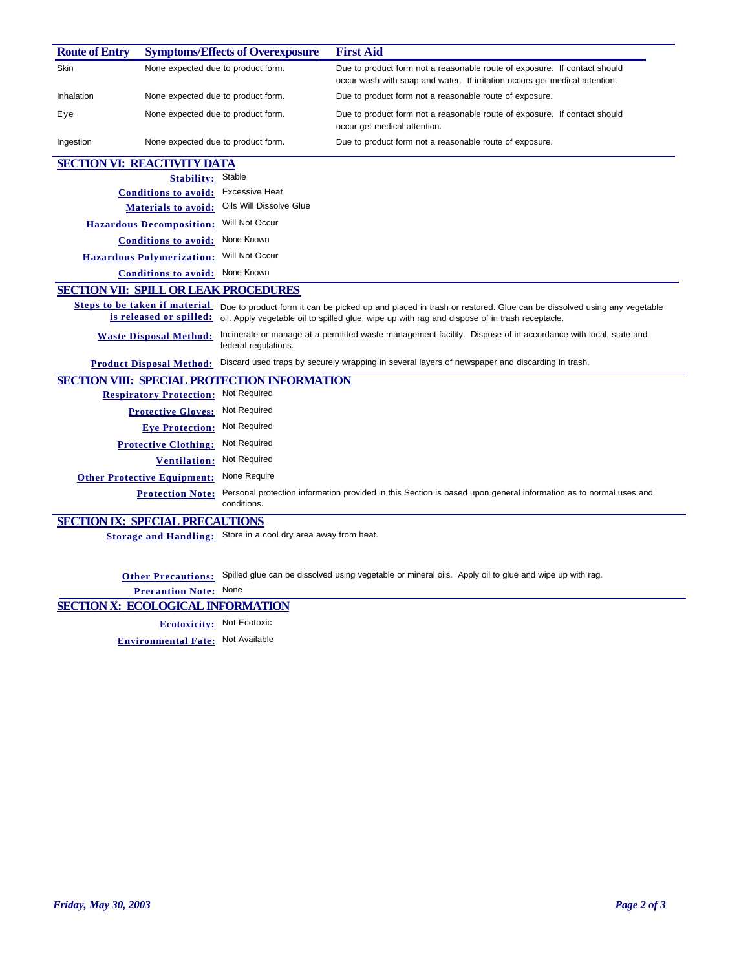| <b>Route of Entry</b>                        |                                                          | <b>Symptoms/Effects of Overexposure</b>             | <b>First Aid</b>                                                                                                                                                                                                     |
|----------------------------------------------|----------------------------------------------------------|-----------------------------------------------------|----------------------------------------------------------------------------------------------------------------------------------------------------------------------------------------------------------------------|
| Skin                                         | None expected due to product form.                       |                                                     | Due to product form not a reasonable route of exposure. If contact should<br>occur wash with soap and water. If irritation occurs get medical attention.                                                             |
| Inhalation                                   | None expected due to product form.                       |                                                     | Due to product form not a reasonable route of exposure.                                                                                                                                                              |
| Eye                                          | None expected due to product form.                       |                                                     | Due to product form not a reasonable route of exposure. If contact should<br>occur get medical attention.                                                                                                            |
| Ingestion                                    | None expected due to product form.                       |                                                     | Due to product form not a reasonable route of exposure.                                                                                                                                                              |
| <b>SECTION VI: REACTIVITY DATA</b>           |                                                          |                                                     |                                                                                                                                                                                                                      |
|                                              | <b>Stability:</b>                                        | Stable                                              |                                                                                                                                                                                                                      |
|                                              | <b>Conditions to avoid:</b>                              | <b>Excessive Heat</b>                               |                                                                                                                                                                                                                      |
|                                              | <b>Materials to avoid:</b>                               | Oils Will Dissolve Glue                             |                                                                                                                                                                                                                      |
|                                              | <b>Hazardous Decomposition:</b>                          | Will Not Occur                                      |                                                                                                                                                                                                                      |
|                                              | <b>Conditions to avoid:</b>                              | None Known                                          |                                                                                                                                                                                                                      |
|                                              | <b>Hazardous Polymerization:</b>                         | Will Not Occur                                      |                                                                                                                                                                                                                      |
|                                              | <b>Conditions to avoid:</b>                              | None Known                                          |                                                                                                                                                                                                                      |
| <b>SECTION VII: SPILL OR LEAK PROCEDURES</b> |                                                          |                                                     |                                                                                                                                                                                                                      |
|                                              | Steps to be taken if material<br>is released or spilled: |                                                     | Due to product form it can be picked up and placed in trash or restored. Glue can be dissolved using any vegetable<br>oil. Apply vegetable oil to spilled glue, wipe up with rag and dispose of in trash receptacle. |
|                                              | <b>Waste Disposal Method:</b>                            | federal regulations.                                | Incinerate or manage at a permitted waste management facility. Dispose of in accordance with local, state and                                                                                                        |
|                                              | <b>Product Disposal Method:</b>                          |                                                     | Discard used traps by securely wrapping in several layers of newspaper and discarding in trash.                                                                                                                      |
|                                              |                                                          | <b>SECTION VIII: SPECIAL PROTECTION INFORMATION</b> |                                                                                                                                                                                                                      |
|                                              | <b>Respiratory Protection:</b>                           | Not Required                                        |                                                                                                                                                                                                                      |
|                                              | <b>Protective Gloves:</b>                                | Not Required                                        |                                                                                                                                                                                                                      |
|                                              | <b>Eye Protection:</b>                                   | Not Required                                        |                                                                                                                                                                                                                      |
|                                              | <b>Protective Clothing:</b>                              | Not Required                                        |                                                                                                                                                                                                                      |
|                                              | <b>Ventilation:</b>                                      | Not Required                                        |                                                                                                                                                                                                                      |
|                                              | <b>Other Protective Equipment:</b>                       | None Require                                        |                                                                                                                                                                                                                      |
|                                              | <b>Protection Note:</b>                                  | conditions.                                         | Personal protection information provided in this Section is based upon general information as to normal uses and                                                                                                     |
| <b>SECTION IX: SPECIAL PRECAUTIONS</b>       |                                                          |                                                     |                                                                                                                                                                                                                      |

**Storage and Handling:** Store in a cool dry area away from heat.

**Other Precautions:** Spilled glue can be dissolved using vegetable or mineral oils. Apply oil to glue and wipe up with rag.

**Precaution Note:** None

## **SECTION X: ECOLOGICAL INFORMATION**

**Ecotoxicity:** Not Ecotoxic

**Environmental Fate:** Not Available